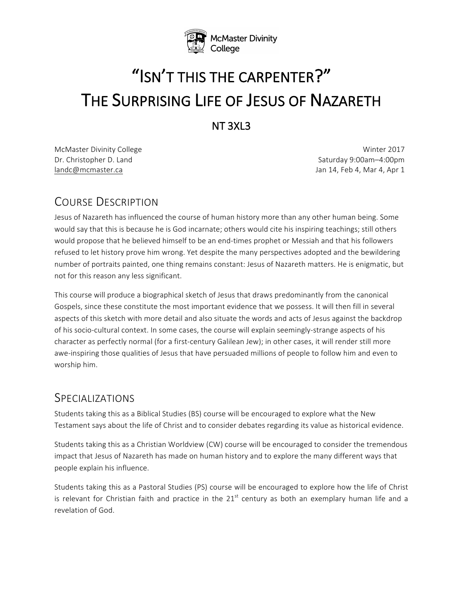

# "ISN'T THIS THE CARPENTER?" THE SURPRISING LIFE OF JESUS OF NAZARETH

NT 3XL3 

McMaster Divinity College Winter 2017 Dr. Christopher D. Land Saturday 9:00am–4:00pm landc@mcmaster.ca Jan 14, Feb 4, Mar 4, Apr 1

# COURSE DESCRIPTION

Jesus of Nazareth has influenced the course of human history more than any other human being. Some would say that this is because he is God incarnate; others would cite his inspiring teachings; still others would propose that he believed himself to be an end-times prophet or Messiah and that his followers refused to let history prove him wrong. Yet despite the many perspectives adopted and the bewildering number of portraits painted, one thing remains constant: Jesus of Nazareth matters. He is enigmatic, but not for this reason any less significant.

This course will produce a biographical sketch of Jesus that draws predominantly from the canonical Gospels, since these constitute the most important evidence that we possess. It will then fill in several aspects of this sketch with more detail and also situate the words and acts of Jesus against the backdrop of his socio-cultural context. In some cases, the course will explain seemingly-strange aspects of his character as perfectly normal (for a first-century Galilean Jew); in other cases, it will render still more awe-inspiring those qualities of Jesus that have persuaded millions of people to follow him and even to worship him.

# SPECIALIZATIONS

Students taking this as a Biblical Studies (BS) course will be encouraged to explore what the New Testament says about the life of Christ and to consider debates regarding its value as historical evidence.

Students taking this as a Christian Worldview (CW) course will be encouraged to consider the tremendous impact that Jesus of Nazareth has made on human history and to explore the many different ways that people explain his influence.

Students taking this as a Pastoral Studies (PS) course will be encouraged to explore how the life of Christ is relevant for Christian faith and practice in the  $21<sup>st</sup>$  century as both an exemplary human life and a revelation of God.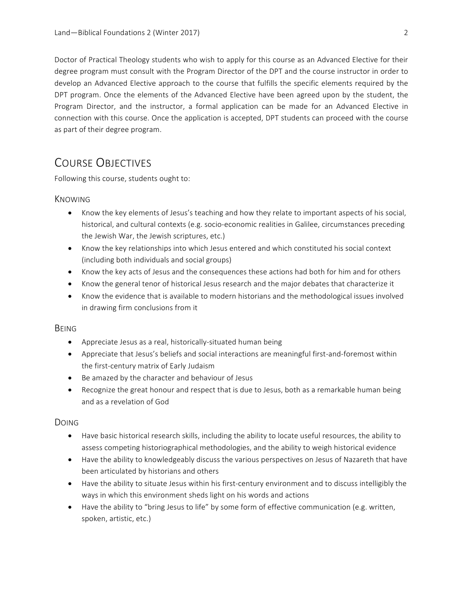Doctor of Practical Theology students who wish to apply for this course as an Advanced Elective for their degree program must consult with the Program Director of the DPT and the course instructor in order to develop an Advanced Elective approach to the course that fulfills the specific elements required by the DPT program. Once the elements of the Advanced Elective have been agreed upon by the student, the Program Director, and the instructor, a formal application can be made for an Advanced Elective in connection with this course. Once the application is accepted, DPT students can proceed with the course as part of their degree program.

# COURSE OBJECTIVES

Following this course, students ought to:

#### KNOWING

- Know the key elements of Jesus's teaching and how they relate to important aspects of his social, historical, and cultural contexts (e.g. socio-economic realities in Galilee, circumstances preceding the Jewish War, the Jewish scriptures, etc.)
- Know the key relationships into which Jesus entered and which constituted his social context (including both individuals and social groups)
- Know the key acts of Jesus and the consequences these actions had both for him and for others
- Know the general tenor of historical Jesus research and the major debates that characterize it
- Know the evidence that is available to modern historians and the methodological issues involved in drawing firm conclusions from it

#### BEING

- Appreciate Jesus as a real, historically-situated human being
- Appreciate that Jesus's beliefs and social interactions are meaningful first-and-foremost within the first-century matrix of Early Judaism
- Be amazed by the character and behaviour of Jesus
- Recognize the great honour and respect that is due to Jesus, both as a remarkable human being and as a revelation of God

#### DOING

- Have basic historical research skills, including the ability to locate useful resources, the ability to assess competing historiographical methodologies, and the ability to weigh historical evidence
- Have the ability to knowledgeably discuss the various perspectives on Jesus of Nazareth that have been articulated by historians and others
- Have the ability to situate Jesus within his first-century environment and to discuss intelligibly the ways in which this environment sheds light on his words and actions
- Have the ability to "bring Jesus to life" by some form of effective communication (e.g. written, spoken, artistic, etc.)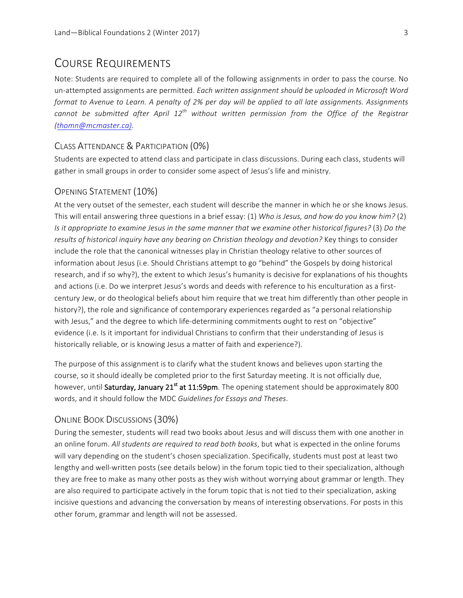# COURSE REQUIREMENTS

Note: Students are required to complete all of the following assignments in order to pass the course. No un-attempted assignments are permitted. *Each written assignment should be uploaded in Microsoft Word format to Avenue to Learn. A penalty of 2% per day will be applied to all late assignments. Assignments cannot be submitted after April 12th without written permission from the Office of the Registrar (thomn@mcmaster.ca).*

#### CLASS ATTENDANCE & PARTICIPATION (0%)

Students are expected to attend class and participate in class discussions. During each class, students will gather in small groups in order to consider some aspect of Jesus's life and ministry.

#### OPENING STATEMENT (10%)

At the very outset of the semester, each student will describe the manner in which he or she knows Jesus. This will entail answering three questions in a brief essay: (1) Who is Jesus, and how do you know him? (2) *Is* it appropriate to examine Jesus in the same manner that we examine other historical figures? (3) Do the results of historical inquiry have any bearing on Christian theology and devotion? Key things to consider include the role that the canonical witnesses play in Christian theology relative to other sources of information about Jesus (i.e. Should Christians attempt to go "behind" the Gospels by doing historical research, and if so why?), the extent to which Jesus's humanity is decisive for explanations of his thoughts and actions (i.e. Do we interpret Jesus's words and deeds with reference to his enculturation as a firstcentury Jew, or do theological beliefs about him require that we treat him differently than other people in history?), the role and significance of contemporary experiences regarded as "a personal relationship with Jesus," and the degree to which life-determining commitments ought to rest on "objective" evidence (i.e. Is it important for individual Christians to confirm that their understanding of Jesus is historically reliable, or is knowing Jesus a matter of faith and experience?).

The purpose of this assignment is to clarify what the student knows and believes upon starting the course, so it should ideally be completed prior to the first Saturday meeting. It is not officially due, however, until Saturday, January 21<sup>st</sup> at 11:59pm. The opening statement should be approximately 800 words, and it should follow the MDC Guidelines for Essays and Theses.

#### ONLINE BOOK DISCUSSIONS (30%)

During the semester, students will read two books about Jesus and will discuss them with one another in an online forum. All students are required to read both books, but what is expected in the online forums will vary depending on the student's chosen specialization. Specifically, students must post at least two lengthy and well-written posts (see details below) in the forum topic tied to their specialization, although they are free to make as many other posts as they wish without worrying about grammar or length. They are also required to participate actively in the forum topic that is not tied to their specialization, asking incisive questions and advancing the conversation by means of interesting observations. For posts in this other forum, grammar and length will not be assessed.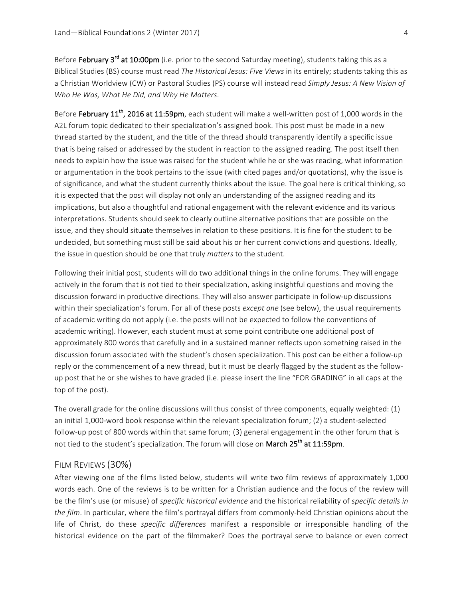Before February 3<sup>rd</sup> at 10:00pm (i.e. prior to the second Saturday meeting), students taking this as a Biblical Studies (BS) course must read *The Historical Jesus: Five Views* in its entirely; students taking this as a Christian Worldview (CW) or Pastoral Studies (PS) course will instead read *Simply Jesus: A New Vision of Who He Was, What He Did, and Why He Matters*. 

Before February 11<sup>th</sup>, 2016 at 11:59pm, each student will make a well-written post of 1,000 words in the A2L forum topic dedicated to their specialization's assigned book. This post must be made in a new thread started by the student, and the title of the thread should transparently identify a specific issue that is being raised or addressed by the student in reaction to the assigned reading. The post itself then needs to explain how the issue was raised for the student while he or she was reading, what information or argumentation in the book pertains to the issue (with cited pages and/or quotations), why the issue is of significance, and what the student currently thinks about the issue. The goal here is critical thinking, so it is expected that the post will display not only an understanding of the assigned reading and its implications, but also a thoughtful and rational engagement with the relevant evidence and its various interpretations. Students should seek to clearly outline alternative positions that are possible on the issue, and they should situate themselves in relation to these positions. It is fine for the student to be undecided, but something must still be said about his or her current convictions and questions. Ideally, the issue in question should be one that truly *matters* to the student.

Following their initial post, students will do two additional things in the online forums. They will engage actively in the forum that is not tied to their specialization, asking insightful questions and moving the discussion forward in productive directions. They will also answer participate in follow-up discussions within their specialization's forum. For all of these posts *except one* (see below), the usual requirements of academic writing do not apply (i.e. the posts will not be expected to follow the conventions of academic writing). However, each student must at some point contribute one additional post of approximately 800 words that carefully and in a sustained manner reflects upon something raised in the discussion forum associated with the student's chosen specialization. This post can be either a follow-up reply or the commencement of a new thread, but it must be clearly flagged by the student as the followup post that he or she wishes to have graded (i.e. please insert the line "FOR GRADING" in all caps at the top of the post).

The overall grade for the online discussions will thus consist of three components, equally weighted:  $(1)$ an initial 1,000-word book response within the relevant specialization forum; (2) a student-selected follow-up post of 800 words within that same forum; (3) general engagement in the other forum that is not tied to the student's specialization. The forum will close on March 25<sup>th</sup> at 11:59pm.

#### FILM REVIEWS (30%)

After viewing one of the films listed below, students will write two film reviews of approximately 1,000 words each. One of the reviews is to be written for a Christian audience and the focus of the review will be the film's use (or misuse) of *specific historical evidence* and the historical reliability of *specific details in the film*. In particular, where the film's portrayal differs from commonly-held Christian opinions about the life of Christ, do these *specific differences* manifest a responsible or irresponsible handling of the historical evidence on the part of the filmmaker? Does the portrayal serve to balance or even correct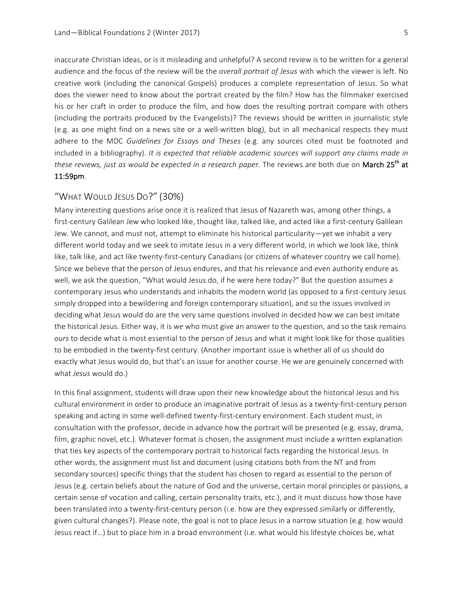inaccurate Christian ideas, or is it misleading and unhelpful? A second review is to be written for a general audience and the focus of the review will be the *overall portrait of Jesus* with which the viewer is left. No creative work (including the canonical Gospels) produces a complete representation of Jesus. So what does the viewer need to know about the portrait created by the film? How has the filmmaker exercised his or her craft in order to produce the film, and how does the resulting portrait compare with others (including the portraits produced by the Evangelists)? The reviews should be written in journalistic style (e.g. as one might find on a news site or a well-written blog), but in all mechanical respects they must adhere to the MDC Guidelines for Essays and Theses (e.g. any sources cited must be footnoted and included in a bibliography). It is expected that reliable academic sources will support any claims made in *these reviews, just as would be expected in a research paper.* The reviews are both due on March 25<sup>th</sup> at 11:59pm.

## "WHAT WOULD JESUS DO?" (30%)

Many interesting questions arise once it is realized that Jesus of Nazareth was, among other things, a first-century Galilean Jew who looked like, thought like, talked like, and acted like a first-century Galilean Jew. We cannot, and must not, attempt to eliminate his historical particularity—yet we inhabit a very different world today and we seek to imitate Jesus in a very different world, in which we look like, think like, talk like, and act like twenty-first-century Canadians (or citizens of whatever country we call home). Since we believe that the person of Jesus endures, and that his relevance and even authority endure as well, we ask the question, "What would Jesus do, if he were here today?" But the question assumes a contemporary Jesus who understands and inhabits the modern world (as opposed to a first-century Jesus simply dropped into a bewildering and foreign contemporary situation), and so the issues involved in deciding what Jesus would do are the very same questions involved in decided how we can best imitate the historical Jesus. Either way, it is we who must give an answer to the question, and so the task remains *ours* to decide what is most essential to the person of Jesus and what it might look like for those qualities to be embodied in the twenty-first century. (Another important issue is whether all of us should do exactly what Jesus would do, but that's an issue for another course. He we are genuinely concerned with what *Jesus* would do.)

In this final assignment, students will draw upon their new knowledge about the historical Jesus and his cultural environment in order to produce an imaginative portrait of Jesus as a twenty-first-century person speaking and acting in some well-defined twenty-first-century environment. Each student must, in consultation with the professor, decide in advance how the portrait will be presented (e.g. essay, drama, film, graphic novel, etc.). Whatever format is chosen, the assignment must include a written explanation that ties key aspects of the contemporary portrait to historical facts regarding the historical Jesus. In other words, the assignment must list and document (using citations both from the NT and from secondary sources) specific things that the student has chosen to regard as essential to the person of Jesus (e.g. certain beliefs about the nature of God and the universe, certain moral principles or passions, a certain sense of vocation and calling, certain personality traits, etc.), and it must discuss how those have been translated into a twenty-first-century person (i.e. how are they expressed similarly or differently, given cultural changes?). Please note, the goal is not to place Jesus in a narrow situation (e.g. how would Jesus react if...) but to place him in a broad environment (i.e. what would his lifestyle choices be, what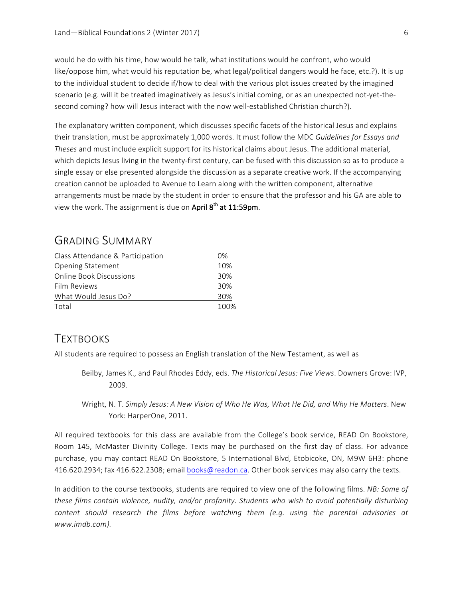would he do with his time, how would he talk, what institutions would he confront, who would like/oppose him, what would his reputation be, what legal/political dangers would he face, etc.?). It is up to the individual student to decide if/how to deal with the various plot issues created by the imagined scenario (e.g. will it be treated imaginatively as Jesus's initial coming, or as an unexpected not-yet-thesecond coming? how will Jesus interact with the now well-established Christian church?).

The explanatory written component, which discusses specific facets of the historical Jesus and explains their translation, must be approximately 1,000 words. It must follow the MDC Guidelines for Essays and *Theses* and must include explicit support for its historical claims about Jesus. The additional material, which depicts Jesus living in the twenty-first century, can be fused with this discussion so as to produce a single essay or else presented alongside the discussion as a separate creative work. If the accompanying creation cannot be uploaded to Avenue to Learn along with the written component, alternative arrangements must be made by the student in order to ensure that the professor and his GA are able to view the work. The assignment is due on April  $8<sup>th</sup>$  at 11:59pm.

# GRADING SUMMARY

| Class Attendance & Participation | 0%   |
|----------------------------------|------|
| <b>Opening Statement</b>         |      |
| Online Book Discussions          | 30%  |
| Film Reviews                     | 30%  |
| What Would Jesus Do?             | 30%  |
| Total                            | 100% |

# **TEXTBOOKS**

All students are required to possess an English translation of the New Testament, as well as

- Beilby, James K., and Paul Rhodes Eddy, eds. The Historical Jesus: Five Views. Downers Grove: IVP, 2009.
- Wright, N. T. *Simply Jesus: A New Vision of Who He Was, What He Did, and Why He Matters*. New York: HarperOne, 2011.

All required textbooks for this class are available from the College's book service, READ On Bookstore, Room 145, McMaster Divinity College. Texts may be purchased on the first day of class. For advance purchase, you may contact READ On Bookstore, 5 International Blvd, Etobicoke, ON, M9W 6H3: phone 416.620.2934; fax 416.622.2308; email books@readon.ca. Other book services may also carry the texts.

In addition to the course textbooks, students are required to view one of the following films. *NB: Some of these films contain violence, nudity, and/or profanity. Students who wish to avoid potentially disturbing content should research the films before watching them (e.g. using the parental advisories at www.imdb.com).*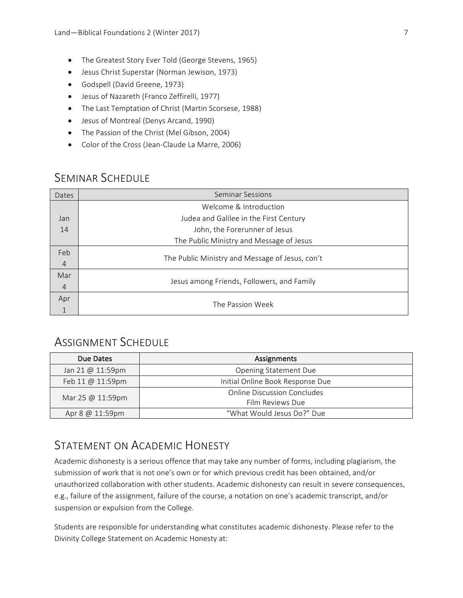- The Greatest Story Ever Told (George Stevens, 1965)
- Jesus Christ Superstar (Norman Jewison, 1973)
- Godspell (David Greene, 1973)
- Jesus of Nazareth (Franco Zeffirelli, 1977)
- The Last Temptation of Christ (Martin Scorsese, 1988)
- Jesus of Montreal (Denys Arcand, 1990)
- The Passion of the Christ (Mel Gibson, 2004)
- Color of the Cross (Jean-Claude La Marre, 2006)

# SEMINAR SCHEDULE

| Dates          | <b>Seminar Sessions</b>                         |
|----------------|-------------------------------------------------|
|                | Welcome & Introduction                          |
| Jan            | Judea and Galilee in the First Century          |
| 14             | John, the Forerunner of Jesus                   |
|                | The Public Ministry and Message of Jesus        |
| Feb            |                                                 |
| $\overline{4}$ | The Public Ministry and Message of Jesus, con't |
| Mar            | Jesus among Friends, Followers, and Family      |
| $\overline{4}$ |                                                 |
| Apr            |                                                 |
| $\mathbf 1$    | The Passion Week                                |

# ASSIGNMENT SCHEDULE

| Due Dates                   | Assignments                        |
|-----------------------------|------------------------------------|
| Jan 21 @ 11:59pm            | <b>Opening Statement Due</b>       |
| Feb 11 @ 11:59pm            | Initial Online Book Response Due   |
| Mar 25 $@$ 11:59pm          | <b>Online Discussion Concludes</b> |
|                             | Film Reviews Due                   |
| Apr $8 \text{ @ } 11:59$ pm | "What Would Jesus Do?" Due         |

# STATEMENT ON ACADEMIC HONESTY

Academic dishonesty is a serious offence that may take any number of forms, including plagiarism, the submission of work that is not one's own or for which previous credit has been obtained, and/or unauthorized collaboration with other students. Academic dishonesty can result in severe consequences, e.g., failure of the assignment, failure of the course, a notation on one's academic transcript, and/or suspension or expulsion from the College.

Students are responsible for understanding what constitutes academic dishonesty. Please refer to the Divinity College Statement on Academic Honesty at: